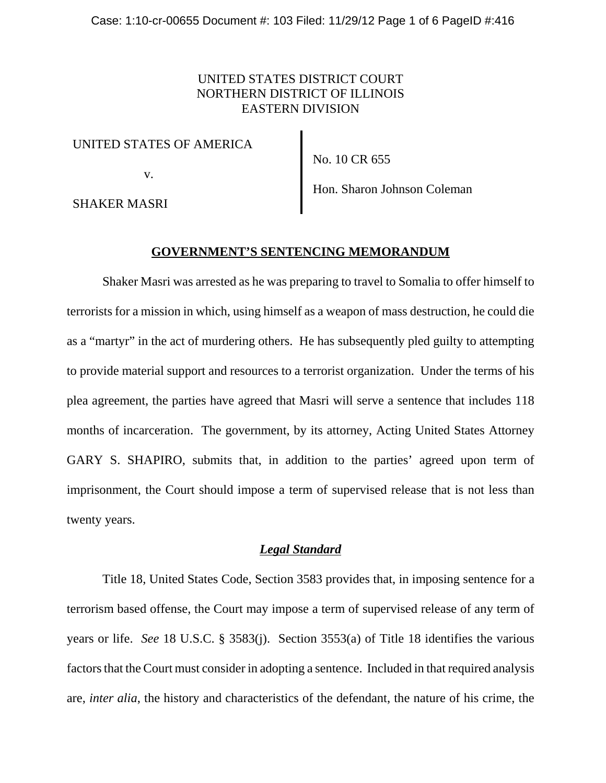# UNITED STATES DISTRICT COURT NORTHERN DISTRICT OF ILLINOIS EASTERN DIVISION

#### UNITED STATES OF AMERICA

v.

No. 10 CR 655

SHAKER MASRI

Hon. Sharon Johnson Coleman

#### **GOVERNMENT'S SENTENCING MEMORANDUM**

Shaker Masri was arrested as he was preparing to travel to Somalia to offer himself to terrorists for a mission in which, using himself as a weapon of mass destruction, he could die as a "martyr" in the act of murdering others. He has subsequently pled guilty to attempting to provide material support and resources to a terrorist organization. Under the terms of his plea agreement, the parties have agreed that Masri will serve a sentence that includes 118 months of incarceration. The government, by its attorney, Acting United States Attorney GARY S. SHAPIRO, submits that, in addition to the parties' agreed upon term of imprisonment, the Court should impose a term of supervised release that is not less than twenty years.

## *Legal Standard*

Title 18, United States Code, Section 3583 provides that, in imposing sentence for a terrorism based offense, the Court may impose a term of supervised release of any term of years or life. *See* 18 U.S.C. § 3583(j). Section 3553(a) of Title 18 identifies the various factors that the Court must consider in adopting a sentence. Included in that required analysis are, *inter alia*, the history and characteristics of the defendant, the nature of his crime, the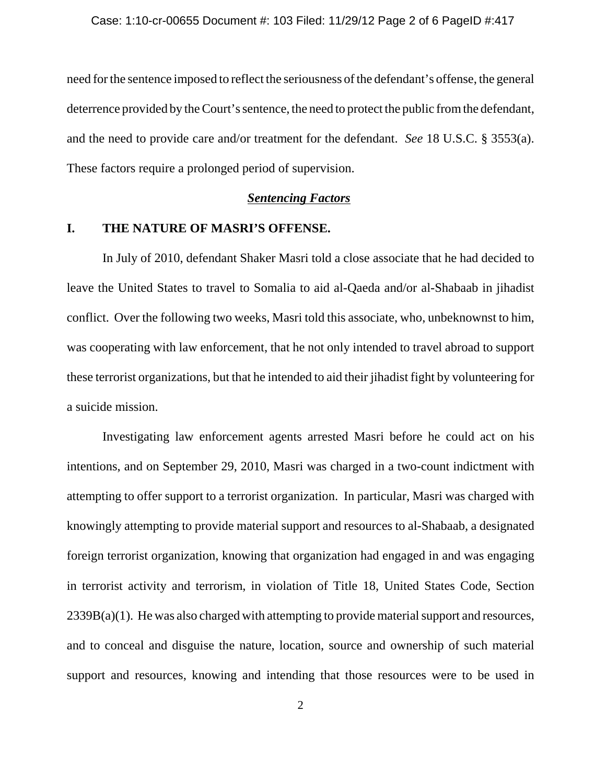need for the sentence imposed to reflect the seriousness of the defendant's offense, the general deterrence provided by the Court's sentence, the need to protect the public from the defendant, and the need to provide care and/or treatment for the defendant. *See* 18 U.S.C. § 3553(a). These factors require a prolonged period of supervision.

#### *Sentencing Factors*

## **I. THE NATURE OF MASRI'S OFFENSE.**

In July of 2010, defendant Shaker Masri told a close associate that he had decided to leave the United States to travel to Somalia to aid al-Qaeda and/or al-Shabaab in jihadist conflict. Over the following two weeks, Masri told this associate, who, unbeknownst to him, was cooperating with law enforcement, that he not only intended to travel abroad to support these terrorist organizations, but that he intended to aid their jihadist fight by volunteering for a suicide mission.

Investigating law enforcement agents arrested Masri before he could act on his intentions, and on September 29, 2010, Masri was charged in a two-count indictment with attempting to offer support to a terrorist organization. In particular, Masri was charged with knowingly attempting to provide material support and resources to al-Shabaab, a designated foreign terrorist organization, knowing that organization had engaged in and was engaging in terrorist activity and terrorism, in violation of Title 18, United States Code, Section  $2339B(a)(1)$ . He was also charged with attempting to provide material support and resources, and to conceal and disguise the nature, location, source and ownership of such material support and resources, knowing and intending that those resources were to be used in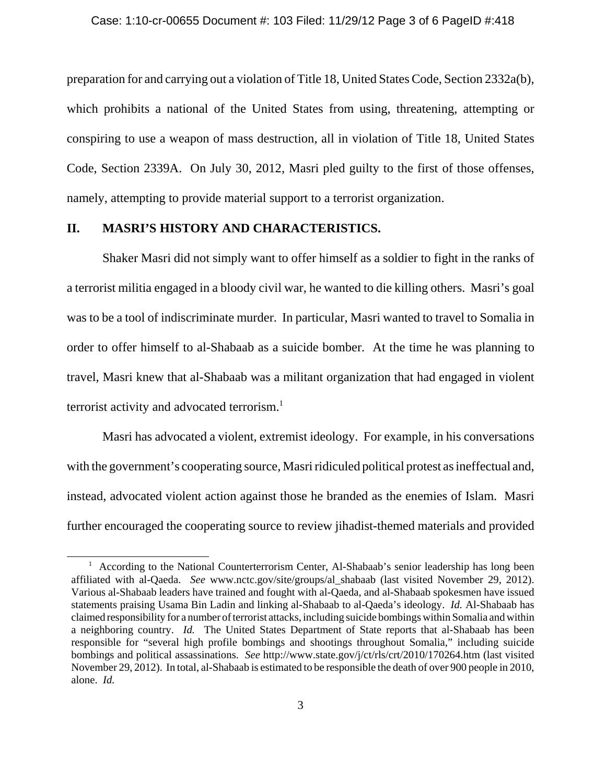preparation for and carrying out a violation of Title 18, United States Code, Section 2332a(b), which prohibits a national of the United States from using, threatening, attempting or conspiring to use a weapon of mass destruction, all in violation of Title 18, United States Code, Section 2339A. On July 30, 2012, Masri pled guilty to the first of those offenses, namely, attempting to provide material support to a terrorist organization.

## **II. MASRI'S HISTORY AND CHARACTERISTICS.**

Shaker Masri did not simply want to offer himself as a soldier to fight in the ranks of a terrorist militia engaged in a bloody civil war, he wanted to die killing others. Masri's goal was to be a tool of indiscriminate murder. In particular, Masri wanted to travel to Somalia in order to offer himself to al-Shabaab as a suicide bomber. At the time he was planning to travel, Masri knew that al-Shabaab was a militant organization that had engaged in violent terrorist activity and advocated terrorism.<sup>1</sup>

Masri has advocated a violent, extremist ideology. For example, in his conversations with the government's cooperating source, Masri ridiculed political protest as ineffectual and, instead, advocated violent action against those he branded as the enemies of Islam. Masri further encouraged the cooperating source to review jihadist-themed materials and provided

<sup>&</sup>lt;sup>1</sup> According to the National Counterterrorism Center, Al-Shabaab's senior leadership has long been affiliated with al-Qaeda. *See* www.nctc.gov/site/groups/al\_shabaab (last visited November 29, 2012). Various al-Shabaab leaders have trained and fought with al-Qaeda, and al-Shabaab spokesmen have issued statements praising Usama Bin Ladin and linking al-Shabaab to al-Qaeda's ideology. *Id.* Al-Shabaab has claimed responsibility for a number of terrorist attacks, including suicide bombings within Somalia and within a neighboring country. *Id.* The United States Department of State reports that al-Shabaab has been responsible for "several high profile bombings and shootings throughout Somalia," including suicide bombings and political assassinations. *See* http://www.state.gov/j/ct/rls/crt/2010/170264.htm (last visited November 29, 2012). In total, al-Shabaab is estimated to be responsible the death of over 900 people in 2010, alone. *Id.*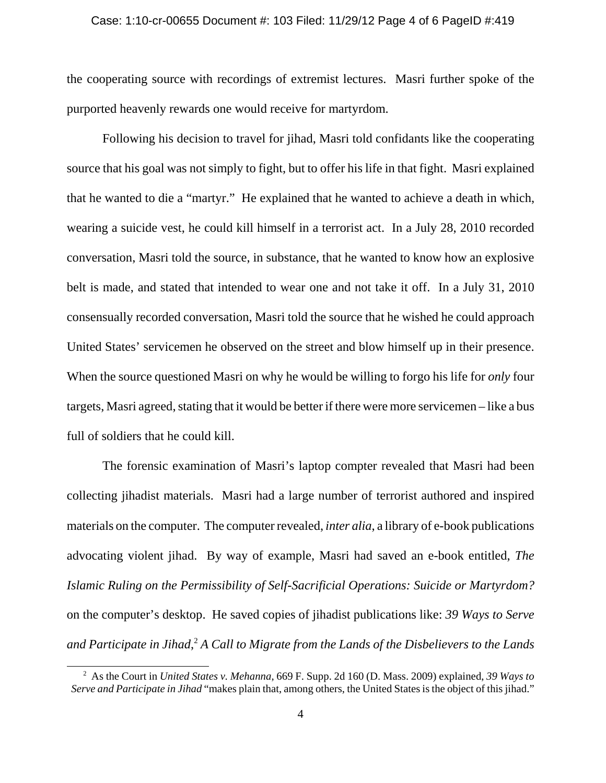#### Case: 1:10-cr-00655 Document #: 103 Filed: 11/29/12 Page 4 of 6 PageID #:419

the cooperating source with recordings of extremist lectures. Masri further spoke of the purported heavenly rewards one would receive for martyrdom.

 Following his decision to travel for jihad, Masri told confidants like the cooperating source that his goal was not simply to fight, but to offer his life in that fight. Masri explained that he wanted to die a "martyr." He explained that he wanted to achieve a death in which, wearing a suicide vest, he could kill himself in a terrorist act. In a July 28, 2010 recorded conversation, Masri told the source, in substance, that he wanted to know how an explosive belt is made, and stated that intended to wear one and not take it off. In a July 31, 2010 consensually recorded conversation, Masri told the source that he wished he could approach United States' servicemen he observed on the street and blow himself up in their presence. When the source questioned Masri on why he would be willing to forgo his life for *only* four targets, Masri agreed, stating that it would be better if there were more servicemen – like a bus full of soldiers that he could kill.

The forensic examination of Masri's laptop compter revealed that Masri had been collecting jihadist materials. Masri had a large number of terrorist authored and inspired materials on the computer. The computer revealed, *inter alia*, a library of e-book publications advocating violent jihad. By way of example, Masri had saved an e-book entitled, *The Islamic Ruling on the Permissibility of Self-Sacrificial Operations: Suicide or Martyrdom?* on the computer's desktop. He saved copies of jihadist publications like: *39 Ways to Serve and Participate in Jihad*, <sup>2</sup> *A Call to Migrate from the Lands of the Disbelievers to the Lands*

 <sup>2</sup> As the Court in *United States v. Mehanna*, 669 F. Supp. 2d 160 (D. Mass. 2009) explained, *39 Ways to Serve and Participate in Jihad* "makes plain that, among others, the United States is the object of this jihad."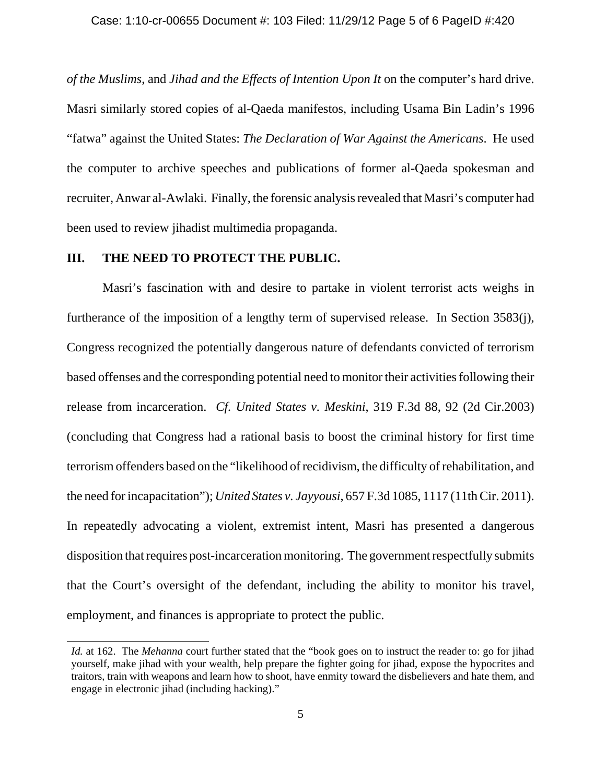*of the Muslims*, and *Jihad and the Effects of Intention Upon It* on the computer's hard drive. Masri similarly stored copies of al-Qaeda manifestos, including Usama Bin Ladin's 1996 "fatwa" against the United States: *The Declaration of War Against the Americans*. He used the computer to archive speeches and publications of former al-Qaeda spokesman and recruiter, Anwar al-Awlaki. Finally, the forensic analysis revealed that Masri's computer had been used to review jihadist multimedia propaganda.

## **III. THE NEED TO PROTECT THE PUBLIC.**

Masri's fascination with and desire to partake in violent terrorist acts weighs in furtherance of the imposition of a lengthy term of supervised release. In Section 3583(j), Congress recognized the potentially dangerous nature of defendants convicted of terrorism based offenses and the corresponding potential need to monitor their activities following their release from incarceration. *Cf. United States v. Meskini*, 319 F.3d 88, 92 (2d Cir.2003) (concluding that Congress had a rational basis to boost the criminal history for first time terrorism offenders based on the "likelihood of recidivism, the difficulty of rehabilitation, and the need for incapacitation"); *United States v. Jayyousi*, 657 F.3d 1085, 1117 (11th Cir. 2011). In repeatedly advocating a violent, extremist intent, Masri has presented a dangerous disposition that requires post-incarceration monitoring. The government respectfully submits that the Court's oversight of the defendant, including the ability to monitor his travel, employment, and finances is appropriate to protect the public.

*Id.* at 162. The *Mehanna* court further stated that the "book goes on to instruct the reader to: go for jihad yourself, make jihad with your wealth, help prepare the fighter going for jihad, expose the hypocrites and traitors, train with weapons and learn how to shoot, have enmity toward the disbelievers and hate them, and engage in electronic jihad (including hacking)."